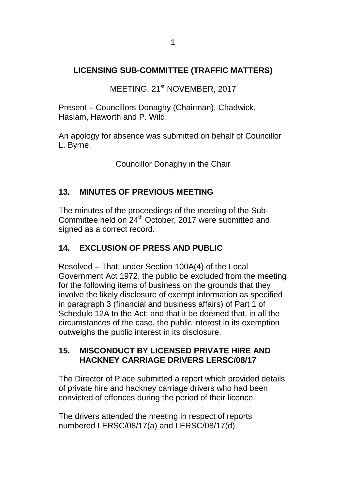## **LICENSING SUB-COMMITTEE (TRAFFIC MATTERS)**

MEETING, 21<sup>st</sup> NOVEMBER, 2017

Present – Councillors Donaghy (Chairman), Chadwick, Haslam, Haworth and P. Wild.

An apology for absence was submitted on behalf of Councillor L. Byrne.

Councillor Donaghy in the Chair

## **13. MINUTES OF PREVIOUS MEETING**

The minutes of the proceedings of the meeting of the Sub-Committee held on 24<sup>th</sup> October, 2017 were submitted and signed as a correct record.

## **14. EXCLUSION OF PRESS AND PUBLIC**

Resolved – That, under Section 100A(4) of the Local Government Act 1972, the public be excluded from the meeting for the following items of business on the grounds that they involve the likely disclosure of exempt information as specified in paragraph 3 (financial and business affairs) of Part 1 of Schedule 12A to the Act; and that it be deemed that, in all the circumstances of the case, the public interest in its exemption outweighs the public interest in its disclosure.

## **15. MISCONDUCT BY LICENSED PRIVATE HIRE AND HACKNEY CARRIAGE DRIVERS LERSC/08/17**

The Director of Place submitted a report which provided details of private hire and hackney carriage drivers who had been convicted of offences during the period of their licence.

The drivers attended the meeting in respect of reports numbered LERSC/08/17(a) and LERSC/08/17(d).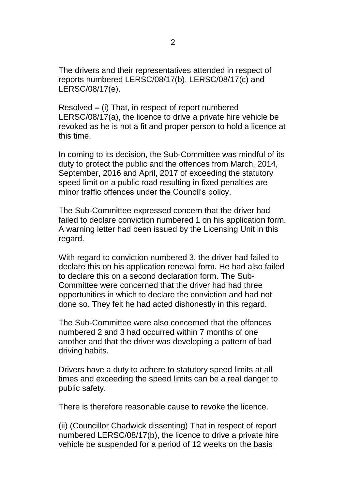The drivers and their representatives attended in respect of reports numbered LERSC/08/17(b), LERSC/08/17(c) and LERSC/08/17(e).

Resolved **–** (i) That, in respect of report numbered LERSC/08/17(a), the licence to drive a private hire vehicle be revoked as he is not a fit and proper person to hold a licence at this time.

In coming to its decision, the Sub-Committee was mindful of its duty to protect the public and the offences from March, 2014, September, 2016 and April, 2017 of exceeding the statutory speed limit on a public road resulting in fixed penalties are minor traffic offences under the Council's policy.

The Sub-Committee expressed concern that the driver had failed to declare conviction numbered 1 on his application form. A warning letter had been issued by the Licensing Unit in this regard.

With regard to conviction numbered 3, the driver had failed to declare this on his application renewal form. He had also failed to declare this on a second declaration form. The Sub-Committee were concerned that the driver had had three opportunities in which to declare the conviction and had not done so. They felt he had acted dishonestly in this regard.

The Sub-Committee were also concerned that the offences numbered 2 and 3 had occurred within 7 months of one another and that the driver was developing a pattern of bad driving habits.

Drivers have a duty to adhere to statutory speed limits at all times and exceeding the speed limits can be a real danger to public safety.

There is therefore reasonable cause to revoke the licence.

(ii) (Councillor Chadwick dissenting) That in respect of report numbered LERSC/08/17(b), the licence to drive a private hire vehicle be suspended for a period of 12 weeks on the basis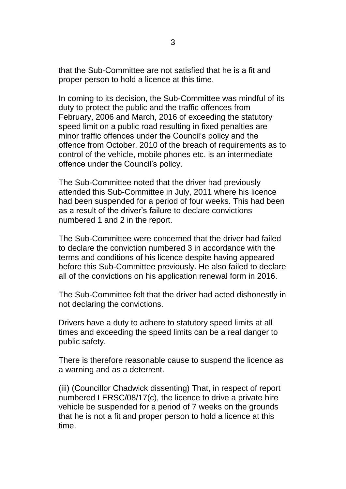that the Sub-Committee are not satisfied that he is a fit and proper person to hold a licence at this time.

In coming to its decision, the Sub-Committee was mindful of its duty to protect the public and the traffic offences from February, 2006 and March, 2016 of exceeding the statutory speed limit on a public road resulting in fixed penalties are minor traffic offences under the Council's policy and the offence from October, 2010 of the breach of requirements as to control of the vehicle, mobile phones etc. is an intermediate offence under the Council's policy.

The Sub-Committee noted that the driver had previously attended this Sub-Committee in July, 2011 where his licence had been suspended for a period of four weeks. This had been as a result of the driver's failure to declare convictions numbered 1 and 2 in the report.

The Sub-Committee were concerned that the driver had failed to declare the conviction numbered 3 in accordance with the terms and conditions of his licence despite having appeared before this Sub-Committee previously. He also failed to declare all of the convictions on his application renewal form in 2016.

The Sub-Committee felt that the driver had acted dishonestly in not declaring the convictions.

Drivers have a duty to adhere to statutory speed limits at all times and exceeding the speed limits can be a real danger to public safety.

There is therefore reasonable cause to suspend the licence as a warning and as a deterrent.

(iii) (Councillor Chadwick dissenting) That, in respect of report numbered LERSC/08/17(c), the licence to drive a private hire vehicle be suspended for a period of 7 weeks on the grounds that he is not a fit and proper person to hold a licence at this time.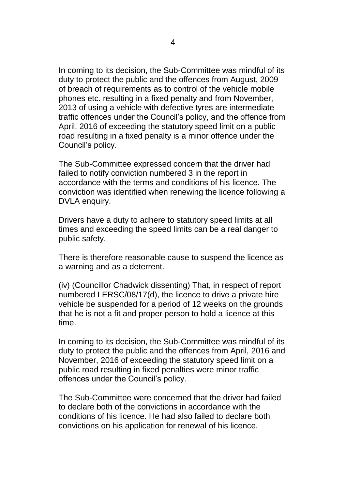In coming to its decision, the Sub-Committee was mindful of its duty to protect the public and the offences from August, 2009 of breach of requirements as to control of the vehicle mobile phones etc. resulting in a fixed penalty and from November, 2013 of using a vehicle with defective tyres are intermediate traffic offences under the Council's policy, and the offence from April, 2016 of exceeding the statutory speed limit on a public road resulting in a fixed penalty is a minor offence under the Council's policy.

The Sub-Committee expressed concern that the driver had failed to notify conviction numbered 3 in the report in accordance with the terms and conditions of his licence. The conviction was identified when renewing the licence following a DVLA enquiry.

Drivers have a duty to adhere to statutory speed limits at all times and exceeding the speed limits can be a real danger to public safety.

There is therefore reasonable cause to suspend the licence as a warning and as a deterrent.

(iv) (Councillor Chadwick dissenting) That, in respect of report numbered LERSC/08/17(d), the licence to drive a private hire vehicle be suspended for a period of 12 weeks on the grounds that he is not a fit and proper person to hold a licence at this time.

In coming to its decision, the Sub-Committee was mindful of its duty to protect the public and the offences from April, 2016 and November, 2016 of exceeding the statutory speed limit on a public road resulting in fixed penalties were minor traffic offences under the Council's policy.

The Sub-Committee were concerned that the driver had failed to declare both of the convictions in accordance with the conditions of his licence. He had also failed to declare both convictions on his application for renewal of his licence.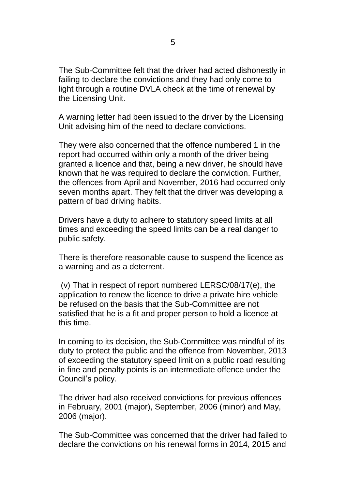The Sub-Committee felt that the driver had acted dishonestly in failing to declare the convictions and they had only come to light through a routine DVLA check at the time of renewal by the Licensing Unit.

A warning letter had been issued to the driver by the Licensing Unit advising him of the need to declare convictions.

They were also concerned that the offence numbered 1 in the report had occurred within only a month of the driver being granted a licence and that, being a new driver, he should have known that he was required to declare the conviction. Further, the offences from April and November, 2016 had occurred only seven months apart. They felt that the driver was developing a pattern of bad driving habits.

Drivers have a duty to adhere to statutory speed limits at all times and exceeding the speed limits can be a real danger to public safety.

There is therefore reasonable cause to suspend the licence as a warning and as a deterrent.

(v) That in respect of report numbered LERSC/08/17(e), the application to renew the licence to drive a private hire vehicle be refused on the basis that the Sub-Committee are not satisfied that he is a fit and proper person to hold a licence at this time.

In coming to its decision, the Sub-Committee was mindful of its duty to protect the public and the offence from November, 2013 of exceeding the statutory speed limit on a public road resulting in fine and penalty points is an intermediate offence under the Council's policy.

The driver had also received convictions for previous offences in February, 2001 (major), September, 2006 (minor) and May, 2006 (major).

The Sub-Committee was concerned that the driver had failed to declare the convictions on his renewal forms in 2014, 2015 and